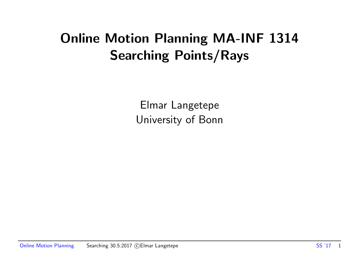## Online Motion Planning MA-INF 1314 Searching Points/Rays

Elmar Langetepe University of Bonn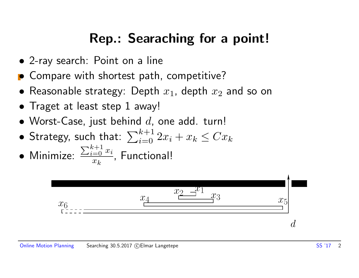## Rep.: Searaching for a point!

- 2-ray search: Point on a line
- Compare with shortest path, competitive?
- Reasonable strategy: Depth  $x_1$ , depth  $x_2$  and so on
- Traget at least step 1 away!
- Worst-Case, just behind  $d$ , one add. turn!
- $\bullet$  Strategy, such that:  $\sum_{i=0}^{k+1} 2x_i + x_k \le Cx_k$
- Minimize:  $\sum_{i=0}^{k+1} x_i$  $x_k$ , Functional!

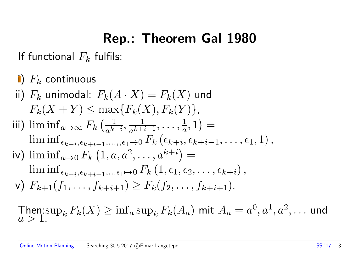## Rep.: Theorem Gal 1980

If functional  $F_k$  fulfils:

i)  $F_k$  continuous ii)  $F_k$  unimodal:  $F_k(A \cdot X) = F_k(X)$  und  $F_k(X + Y) \le \max\{F_k(X), F_k(Y)\},$ iii)  $\liminf_{a\mapsto\infty} F_k\left(\frac{1}{a^k}\right)$  $\overline{a^{k+i}}$  $\frac{1}{\sqrt{k+1}}$  $a^{k+i-1}$  $, \ldots, \frac{1}{a}$  $(\frac{1}{a}, 1) =$  $\liminf_{\epsilon_{k+i}, \epsilon_{k+i-1}, \ldots, \epsilon_1 \mapsto 0} F_k\left(\epsilon_{k+i}, \epsilon_{k+i-1}, \ldots, \epsilon_1, 1\right),$ iv)  $\liminf_{a\mapsto 0} F_k(1,a,a^2,\dots,a^{k+i}) =$  $\liminf_{\epsilon_{k+i}, \epsilon_{k+i-1}, \dots \epsilon_1 \mapsto 0} F_k(1, \epsilon_1, \epsilon_2, \dots, \epsilon_{k+i}),$ v)  $F_{k+1}(f_1,\ldots,f_{k+i+1}) \geq F_k(f_2,\ldots,f_{k+i+1}).$ 

Then:  $\sup_k F_k(X) \ge \inf_a \sup_k F_k(A_a)$  mit  $A_a = a^0, a^1, a^2, \dots$  und  $a > 1$ .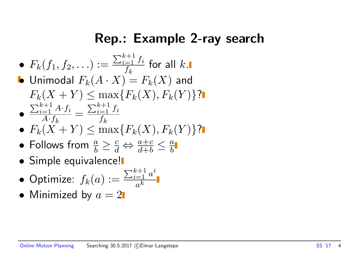#### Rep.: Example 2-ray search

• 
$$
F_k(f_1, f_2, \ldots) := \frac{\sum_{i=1}^{k+1} f_i}{f_k}
$$
 for all  $k$ .

\n- Unimodal 
$$
F_k(A \cdot X) = F_k(X)
$$
 and  $F_k(X + Y) \leq \max\{F_k(X), F_k(Y)\}$ ?
\n- $\frac{\sum_{i=1}^{k+1} A \cdot f_i}{A \cdot f_i} = \frac{\sum_{i=1}^{k+1} f_i}{f_i}$
\n

- $A \cdot f_k$  $Jk$ •  $F_k(X + Y) \le \max\{F_k(X), F_k(Y)\}$ ?
- Follows from  $\frac{a}{b} \geq \frac{c}{d} \Leftrightarrow \frac{a+c}{d+b} \leq \frac{a}{b}$ b
- **•** Simple equivalence!
- $\bullet$  Optimize:  $f_k(a):=$  $\sum_{i=1}^{k+1} a^i$  $\overline{a^k}$
- Minimized by  $a = 2$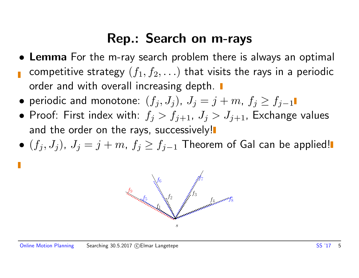## Rep.: Search on m-rays

- Lemma For the m-ray search problem there is always an optimal competitive strategy  $(f_1, f_2, \ldots)$  that visits the rays in a periodic order and with overall increasing depth.
- periodic and monotone:  $(f_i, J_j)$ ,  $J_j = j + m$ ,  $f_j \ge f_{j-1}$
- Proof: First index with:  $f_j > f_{j+1}$ ,  $J_j > J_{j+1}$ , Exchange values and the order on the rays, successively!
- $(f_i, J_j)$ ,  $J_j = j + m$ ,  $f_j \ge f_{j-1}$  Theorem of Gal can be applied!

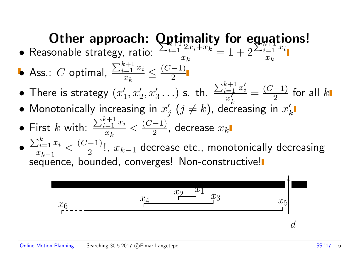# Other approach: **Optimality for equations!**

- Reasonable strategy, ratio:  $\sum_{i=1}^{k+1} \frac{1}{2x_i + x_k}$  $x_k$  $= 1 + 2$  $\sum_{i=1}^{k+1} x_i$  $x_k$
- $\bullet$  Ass.:  $C$  optimal,  $\sum_{i=1}^{k+1} x_i$  $x_k$  $\leq \frac{(C-1)}{2}$ 2
- There is strategy  $(x_1)$  $\zeta_1', x_2', x_3' \ldots$ ) s. th.  $\sum_{i=1}^{k+1} x_i'$ i  $\frac{a-1}{x'_k} \frac{x'_i}{x'_k} = \frac{(C-1)}{2}$  $\frac{-1)}{2}$  for all  $k$
- $\boldsymbol{k}$  $\bullet$  Monotonically increasing in  $x_{\text{q}}'$  $j$   $(j\neq k)$ , decreasing in  $x'_k$  $\boldsymbol{k}$
- First  $k$  with:  $\sum_{i=1}^{k+1} x_i$  $x_k$  $\lt \frac{(C-1)}{2}$  $\frac{-1)}{2}$ , decrease  $x_k$
- $\sum_{i=1}^k x_i$  $x_{k-1}$  $\lt \frac{(C-1)}{2}$  $\frac{-1)}{2}$ !,  $x_{k-1}$  decrease etc., monotonically decreasing sequence, bounded, converges! Non-constructive!

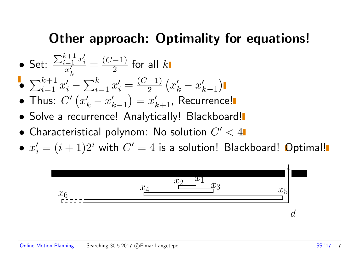## Other approach: Optimality for equations!

- Set:  $\sum_{i=1}^{k+1} x_i'$ i  $\overline{x'}_l$  $\boldsymbol{k}$  $=\frac{(C-1)}{2}$  $\frac{-1)}{2}$  for all  $k$
- $\sum_{i=1}^{k+1} x'_i \sum_{i=1}^k x'_i = \frac{(C-1)}{2}$ 2  $\left(x'_k - x'_k\right)$  $\binom{k-1}{k}$
- Thus:  $C'\left(x'_k x'_k\right)$  $\binom{k}{k-1} = x'_{k+1}$ , Recurrence!
- Solve a recurrence! Analytically! Blackboard!
- $\bullet$  Characteristical polynom: No solution  $C' < 4$
- $\bullet \; x'_i = (i+1)2^i$  with  $C' = 4$  is a solution! Blackboard! Optimal!

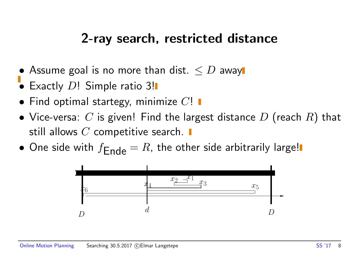### 2-ray search, restricted distance

- Assume goal is no more than dist.  $\leq D$  away
- Exactly D! Simple ratio 3!
- $\bullet$  Find optimal startegy, minimize  $C!$   $\blacksquare$
- Vice-versa:  $C$  is given! Find the largest distance  $D$  (reach  $R$ ) that still allows  $C$  competitive search.  $\blacksquare$
- One side with  $f_{\text{Ende}} = R$ , the other side arbitrarily large!

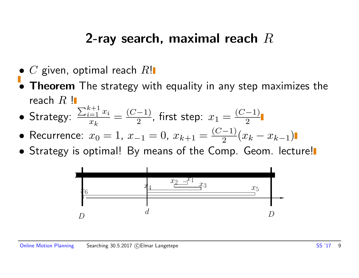## 2-ray search, maximal reach  $R$

- $\bullet$  C given, optimal reach  $R!$
- **Theorem** The strategy with equality in any step maximizes the reach  $R$  !
- Strategy:  $\sum_{i=1}^{k+1} x_i$  $x_k$  $=\frac{(C-1)}{2}$  $\frac{(-1)}{2}$ , first step:  $x_1 = \frac{(C-1)}{2}$ 2
- Recurrence:  $x_0 = 1, x_{-1} = 0, x_{k+1} = \frac{(C-1)}{2}$  $\frac{-1)}{2}(x_k - x_{k-1})$
- Strategy is optimal! By means of the Comp. Geom. lecture!

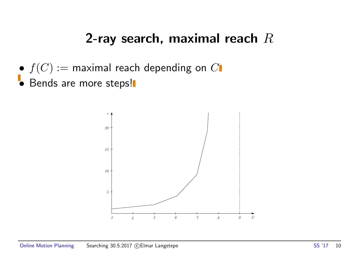## 2-ray search, maximal reach  $R$

- $\bullet$   $f(C) :=$  maximal reach depending on  $C$
- Bends are more steps!

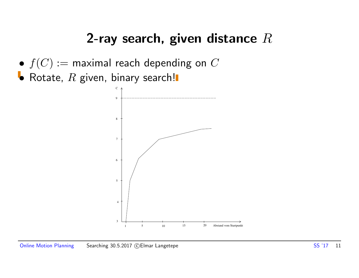## 2-ray search, given distance  $R$

- $\bullet$   $f(C) :=$  maximal reach depending on  $C$
- Rotate,  $R$  given, binary search!

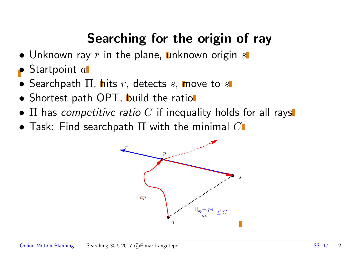## Searching for the origin of ray

- $\bullet$  Unknown ray  $r$  in the plane, unknown origin  $s$
- $\bullet$  Startpoint  $a$
- Searchpath  $\Pi$ , hits r, detects s, move to s
- Shortest path OPT, build the ration
- $\Pi$  has competitive ratio C if inequality holds for all rays
- Task: Find searchpath  $\Pi$  with the minimal  $C$

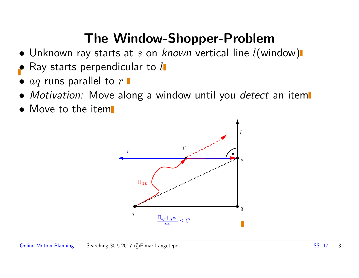## The Window-Shopper-Problem

- Unknown ray starts at  $s$  on known vertical line  $l$ (window)
- Ray starts perpendicular to  $l$
- $aq$  runs parallel to  $r \blacksquare$
- Motivation: Move along a window until you detect an item
- Move to the item

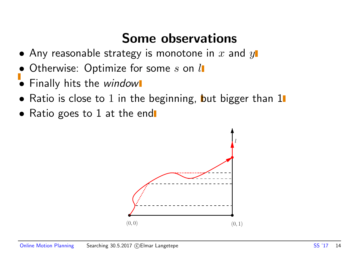## Some observations

- Any reasonable strategy is monotone in  $x$  and  $y$
- Otherwise: Optimize for some  $s$  on  $l$
- Finally hits the window
- Ratio is close to 1 in the beginning, but bigger than  $1\blacksquare$
- Ratio goes to 1 at the end

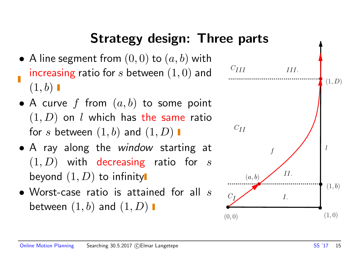## Strategy design: Three parts

- A line segment from  $(0,0)$  to  $(a,b)$  with increasing ratio for s between  $(1, 0)$  and  $(1,b)$
- A curve f from  $(a, b)$  to some point  $(1, D)$  on l which has the same ratio for s between  $(1,b)$  and  $(1,D)$   $\blacksquare$
- A ray along the window starting at  $(1, D)$  with decreasing ratio for s beyond  $(1, D)$  to infinity
- Worst-case ratio is attained for all  $s$ between  $(1, b)$  and  $(1, D)$   $\blacksquare$

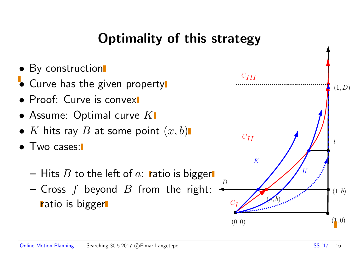## Optimality of this strategy

- By construction
- Curve has the given property
- Proof: Curve is convex
- Assume: Optimal curve  $K$
- K hits ray B at some point  $(x, b)$
- Two cases:
	- Hits B to the left of a: ratio is bigger
	- Cross  $f$  beyond  $B$  from the right: ratio is bigger

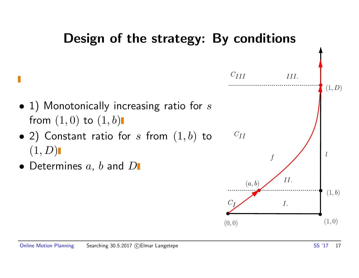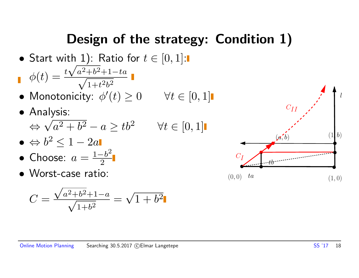## Design of the strategy: Condition 1)

- Start with 1): Ratio for  $t \in [0,1]$ : √
- $\phi(t) = \frac{t\sqrt{a^2+b^2+1-ta}}{\sqrt{a^2+b^2+1-ta^2}}$  $1+t^2b^2$
- Monotonicity:  $\phi'(t) \geq 0 \quad \forall t \in [0,1]$
- Analysis:  $\Leftrightarrow \sqrt{a^2 + b^2} - a \ge tb^2$   $\forall t \in [0, 1]$ dl)<br>⁄
- $\bullet \ \Leftrightarrow b^2 \leq 1-2a$
- Choose:  $a=\frac{1-b^2}{2}$ 2
- Worst-case ratio:

$$
C = \frac{\sqrt{a^2 + b^2} + 1 - a}{\sqrt{1 + b^2}} = \sqrt{1 + b^2}
$$



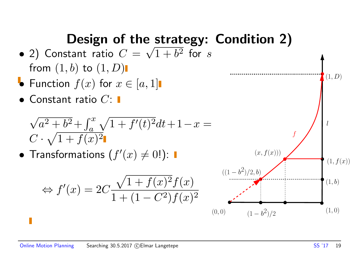# Design of the strategy: Condition 2)

- $\bullet$  2) Constant ratio  $C = \sqrt{1+b^2}$  for  $s$ from  $(1,b)$  to  $(1,D)$
- Function  $f(x)$  for  $x \in [a,1]$
- $\bullet$  Constant ratio  $C$ :  $\blacksquare$

$$
\sqrt{a^2 + b^2} + \int_a^x \sqrt{1 + f'(t)^2} dt + 1 - x =
$$
  

$$
C \cdot \sqrt{1 + f(x)^2}
$$

• Transformations  $(f'(x) \neq 0!)$ :

$$
\Leftrightarrow f'(x) = 2C \frac{\sqrt{1 + f(x)^2} f(x)}{1 + (1 - C^2) f(x)^2}
$$

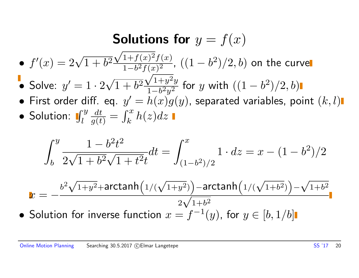#### Solutions for  $y = f(x)$ √

- $\bullet$   $f'$  $(x) = 2\sqrt{1+b^2}$  $1+f(x)^2f(x)$  $\frac{1+f(x)^2f(x)}{1-b^2f(x)^2}$ ,  $((1-b^2)/2,b)$  on the curve  $f(z)$
- $\bullet$  Solve:  $y'=1\cdot 2$ √  $1 + b^2$  $1+y^2y$  $\frac{\sqrt{1+y^2y}}{1-b^2y^2}$  for  $y$  with  $((1-b^2)/2,b)$
- First order diff. eq.  $y' = h(x)g(y)$ , separated variables, point  $(k, l)$
- Solution:  $\int_l^y$  $\frac{dt}{g(t)} =$  $\int_{l_a}^x$  $\int_k^x h(z)dz$

$$
\int_b^y \frac{1 - b^2 t^2}{2\sqrt{1 + b^2}\sqrt{1 + t^2}t} dt = \int_{(1 - b^2)/2}^x 1 \cdot dz = x - (1 - b^2)/2
$$

$$
x = -\frac{b^2\sqrt{1+y^2} + \arctanh\left(1/(\sqrt{1+y^2})\right) - \arctanh\left(1/(\sqrt{1+b^2})\right) - \sqrt{1+b^2}}{2\sqrt{1+b^2}}
$$
  
• Solution for inverse function  $x = f^{-1}(y)$ , for  $y \in [b, 1/b]$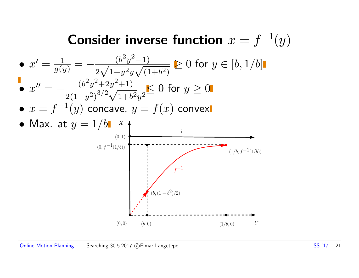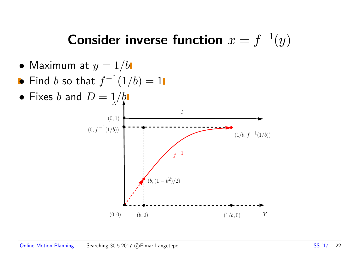## Consider inverse function  $x = f^{-1}(y)$

- Maximum at  $y = 1/b$
- $\bullet$  Find  $b$  so that  $f^{-1}(1/b)=1$
- Fixes b and  $D = 1/b$

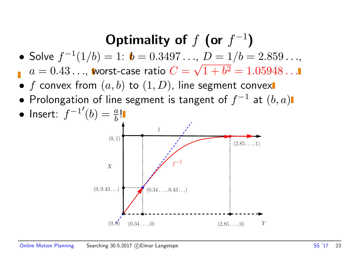## Optimality of  $f$  (or  $f^{-1}$ )

• Solve  $f^{-1}(1/b) = 1$ :  $b = 0.3497...$ ,  $D = 1/b = 2.859...$ ∙,<br>′

 $a=0.43\ldots$ , worst-case ratio  $C=\sqrt{1+b^2}=1.05948\ldots$ 

- f convex from  $(a, b)$  to  $(1, D)$ , line segment convex
- $\bullet$  Prolongation of line segment is tangent of  $f^{-1}$  at  $(b,a)$